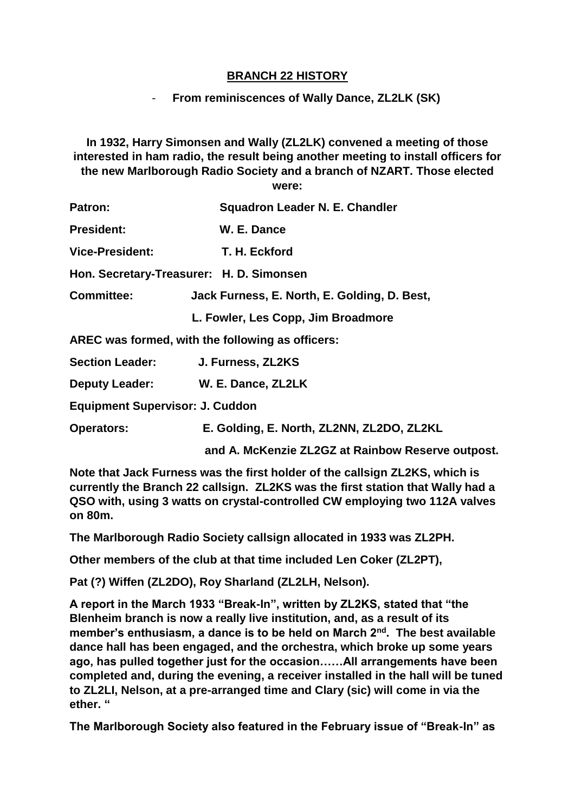## **BRANCH 22 HISTORY**

## - **From reminiscences of Wally Dance, ZL2LK (SK)**

**In 1932, Harry Simonsen and Wally (ZL2LK) convened a meeting of those interested in ham radio, the result being another meeting to install officers for the new Marlborough Radio Society and a branch of NZART. Those elected were:**

| Patron:                                          | <b>Squadron Leader N. E. Chandler</b>        |
|--------------------------------------------------|----------------------------------------------|
| <b>President:</b>                                | W. E. Dance                                  |
| <b>Vice-President:</b>                           | T. H. Eckford                                |
| Hon. Secretary-Treasurer: H. D. Simonsen         |                                              |
| <b>Committee:</b>                                | Jack Furness, E. North, E. Golding, D. Best, |
|                                                  | L. Fowler, Les Copp, Jim Broadmore           |
| AREC was formed, with the following as officers: |                                              |
| <b>Section Leader:</b>                           | J. Furness, ZL2KS                            |
| Deputy Leader: W. E. Dance, ZL2LK                |                                              |
| <b>Equipment Supervisor: J. Cuddon</b>           |                                              |

**Operators: E. Golding, E. North, ZL2NN, ZL2DO, ZL2KL**

 **and A. McKenzie ZL2GZ at Rainbow Reserve outpost.**

**Note that Jack Furness was the first holder of the callsign ZL2KS, which is currently the Branch 22 callsign. ZL2KS was the first station that Wally had a QSO with, using 3 watts on crystal-controlled CW employing two 112A valves on 80m.**

**The Marlborough Radio Society callsign allocated in 1933 was ZL2PH.**

**Other members of the club at that time included Len Coker (ZL2PT),** 

**Pat (?) Wiffen (ZL2DO), Roy Sharland (ZL2LH, Nelson).**

**A report in the March 1933 "Break-In", written by ZL2KS, stated that "the Blenheim branch is now a really live institution, and, as a result of its member's enthusiasm, a dance is to be held on March 2nd. The best available dance hall has been engaged, and the orchestra, which broke up some years ago, has pulled together just for the occasion……All arrangements have been completed and, during the evening, a receiver installed in the hall will be tuned to ZL2LI, Nelson, at a pre-arranged time and Clary (sic) will come in via the ether. "** 

**The Marlborough Society also featured in the February issue of "Break-In" as**